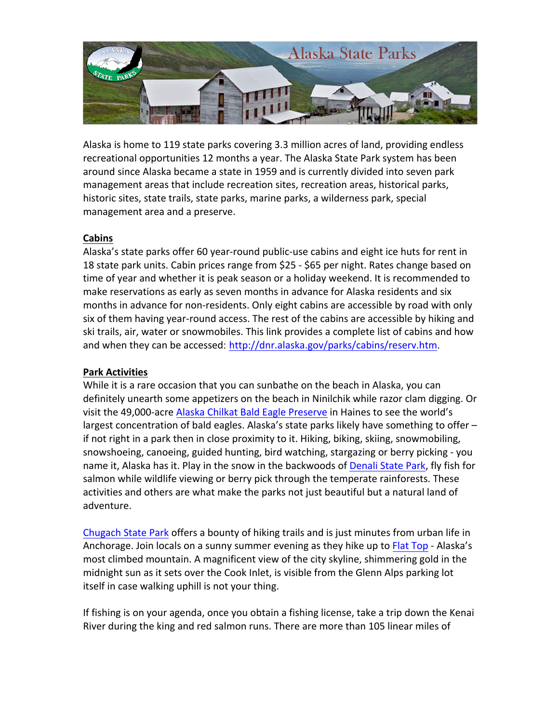

Alaska is home to 119 state parks covering 3.3 million acres of land, providing endless recreational opportunities 12 months a year. The Alaska State Park system has been around since Alaska became a state in 1959 and is currently divided into seven park management areas that include recreation sites, recreation areas, historical parks, historic sites, state trails, state parks, marine parks, a wilderness park, special management area and a preserve.

# **Cabins**

Alaska's state parks offer 60 year-round public-use cabins and eight ice huts for rent in 18 state park units. Cabin prices range from \$25 - \$65 per night. Rates change based on time of year and whether it is peak season or a holiday weekend. It is recommended to make reservations as early as seven months in advance for Alaska residents and six months in advance for non-residents. Only eight cabins are accessible by road with only six of them having year-round access. The rest of the cabins are accessible by hiking and ski trails, air, water or snowmobiles. This link provides a complete list of cabins and how and when they can be accessed: http://dnr.alaska.gov/parks/cabins/reserv.htm.

# **Park Activities**

While it is a rare occasion that you can sunbathe on the beach in Alaska, you can definitely unearth some appetizers on the beach in Ninilchik while razor clam digging. Or visit the 49,000-acre Alaska Chilkat Bald Eagle Preserve in Haines to see the world's largest concentration of bald eagles. Alaska's state parks likely have something to offer  $$ if not right in a park then in close proximity to it. Hiking, biking, skiing, snowmobiling, snowshoeing, canoeing, guided hunting, bird watching, stargazing or berry picking - you name it, Alaska has it. Play in the snow in the backwoods of Denali State Park, fly fish for salmon while wildlife viewing or berry pick through the temperate rainforests. These activities and others are what make the parks not just beautiful but a natural land of adventure. 

Chugach State Park offers a bounty of hiking trails and is just minutes from urban life in Anchorage. Join locals on a sunny summer evening as they hike up to Flat Top - Alaska's most climbed mountain. A magnificent view of the city skyline, shimmering gold in the midnight sun as it sets over the Cook Inlet, is visible from the Glenn Alps parking lot itself in case walking uphill is not your thing.

If fishing is on your agenda, once you obtain a fishing license, take a trip down the Kenai River during the king and red salmon runs. There are more than 105 linear miles of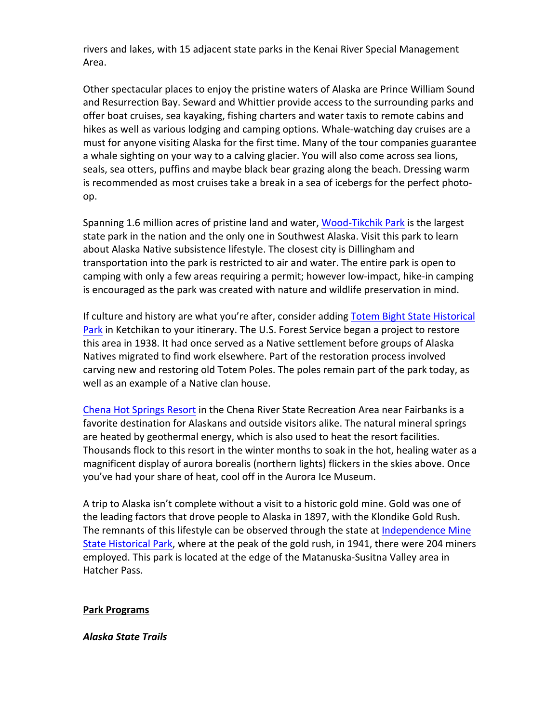rivers and lakes, with 15 adjacent state parks in the Kenai River Special Management Area.

Other spectacular places to enjoy the pristine waters of Alaska are Prince William Sound and Resurrection Bay. Seward and Whittier provide access to the surrounding parks and offer boat cruises, sea kayaking, fishing charters and water taxis to remote cabins and hikes as well as various lodging and camping options. Whale-watching day cruises are a must for anyone visiting Alaska for the first time. Many of the tour companies guarantee a whale sighting on your way to a calving glacier. You will also come across sea lions, seals, sea otters, puffins and maybe black bear grazing along the beach. Dressing warm is recommended as most cruises take a break in a sea of icebergs for the perfect photoop.

Spanning 1.6 million acres of pristine land and water, Wood-Tikchik Park is the largest state park in the nation and the only one in Southwest Alaska. Visit this park to learn about Alaska Native subsistence lifestyle. The closest city is Dillingham and transportation into the park is restricted to air and water. The entire park is open to camping with only a few areas requiring a permit; however low-impact, hike-in camping is encouraged as the park was created with nature and wildlife preservation in mind.

If culture and history are what you're after, consider adding Totem Bight State Historical Park in Ketchikan to your itinerary. The U.S. Forest Service began a project to restore this area in 1938. It had once served as a Native settlement before groups of Alaska Natives migrated to find work elsewhere. Part of the restoration process involved carving new and restoring old Totem Poles. The poles remain part of the park today, as well as an example of a Native clan house.

Chena Hot Springs Resort in the Chena River State Recreation Area near Fairbanks is a favorite destination for Alaskans and outside visitors alike. The natural mineral springs are heated by geothermal energy, which is also used to heat the resort facilities. Thousands flock to this resort in the winter months to soak in the hot, healing water as a magnificent display of aurora borealis (northern lights) flickers in the skies above. Once you've had your share of heat, cool off in the Aurora Ice Museum.

A trip to Alaska isn't complete without a visit to a historic gold mine. Gold was one of the leading factors that drove people to Alaska in 1897, with the Klondike Gold Rush. The remnants of this lifestyle can be observed through the state at Independence Mine State Historical Park, where at the peak of the gold rush, in 1941, there were 204 miners employed. This park is located at the edge of the Matanuska-Susitna Valley area in Hatcher Pass.

### **Park Programs**

#### *Alaska State Trails*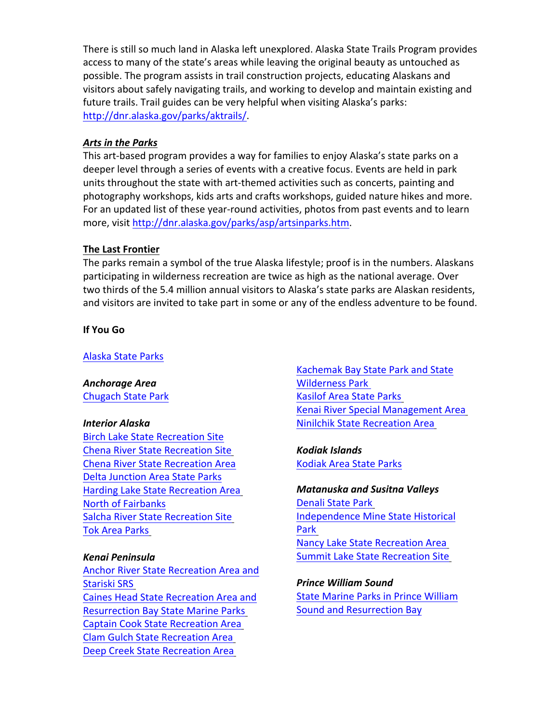There is still so much land in Alaska left unexplored. Alaska State Trails Program provides access to many of the state's areas while leaving the original beauty as untouched as possible. The program assists in trail construction projects, educating Alaskans and visitors about safely navigating trails, and working to develop and maintain existing and future trails. Trail guides can be very helpful when visiting Alaska's parks: http://dnr.alaska.gov/parks/aktrails/.

## Arts in the Parks

This art-based program provides a way for families to enjoy Alaska's state parks on a deeper level through a series of events with a creative focus. Events are held in park units throughout the state with art-themed activities such as concerts, painting and photography workshops, kids arts and crafts workshops, guided nature hikes and more. For an updated list of these year-round activities, photos from past events and to learn more, visit http://dnr.alaska.gov/parks/asp/artsinparks.htm.

## **The Last Frontier**

The parks remain a symbol of the true Alaska lifestyle; proof is in the numbers. Alaskans participating in wilderness recreation are twice as high as the national average. Over two thirds of the 5.4 million annual visitors to Alaska's state parks are Alaskan residents, and visitors are invited to take part in some or any of the endless adventure to be found.

**If You Go**

Alaska State Parks

*Anchorage Area* Chugach State Park

### *Interior Alaska*

**Birch Lake State Recreation Site Chena River State Recreation Site Chena River State Recreation Area** Delta Junction Area State Parks Harding Lake State Recreation Area North of Fairbanks Salcha River State Recreation Site Tok Area Parks

### *Kenai Peninsula*

Anchor River State Recreation Area and Stariski SRS Caines Head State Recreation Area and **Resurrection Bay State Marine Parks** Captain Cook State Recreation Area Clam Gulch State Recreation Area Deep Creek State Recreation Area

Kachemak Bay State Park and State Wilderness Park **Kasilof Area State Parks** Kenai River Special Management Area Ninilchik State Recreation Area

*Kodiak Islands* Kodiak Area State Parks

*Matanuska and Susitna Valleys* Denali State Park Independence Mine State Historical Park Nancy Lake State Recreation Area Summit Lake State Recreation Site

*Prince William Sound* **State Marine Parks in Prince William** Sound and Resurrection Bay